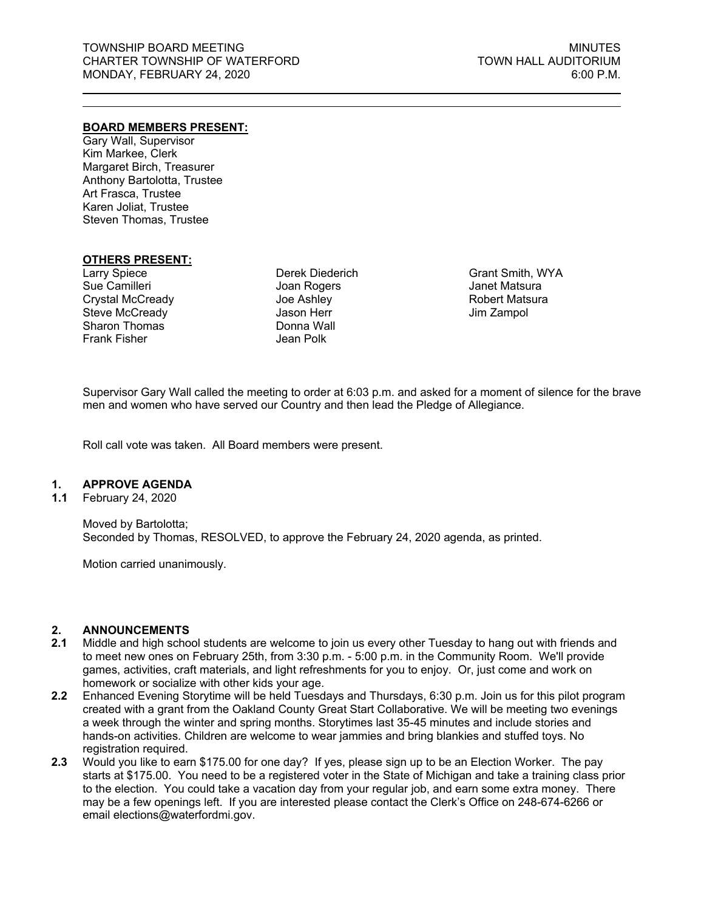#### **BOARD MEMBERS PRESENT:**

Gary Wall, Supervisor Kim Markee, Clerk Margaret Birch, Treasurer Anthony Bartolotta, Trustee Art Frasca, Trustee Karen Joliat, Trustee Steven Thomas, Trustee

#### **OTHERS PRESENT:**

Larry Spiece Sue Camilleri Crystal McCready Steve McCready Sharon Thomas Frank Fisher

Derek Diederich Joan Rogers Joe Ashley Jason Herr Donna Wall Jean Polk

Grant Smith, WYA Janet Matsura Robert Matsura Jim Zampol

Supervisor Gary Wall called the meeting to order at 6:03 p.m. and asked for a moment of silence for the brave men and women who have served our Country and then lead the Pledge of Allegiance.

Roll call vote was taken. All Board members were present.

#### **1. APPROVE AGENDA**

**1.1** February 24, 2020

Moved by Bartolotta; Seconded by Thomas, RESOLVED, to approve the February 24, 2020 agenda, as printed.

Motion carried unanimously.

#### **2. ANNOUNCEMENTS**

- **2.1** Middle and high school students are welcome to join us every other Tuesday to hang out with friends and to meet new ones on February 25th, from 3:30 p.m. - 5:00 p.m. in the Community Room. We'll provide games, activities, craft materials, and light refreshments for you to enjoy. Or, just come and work on homework or socialize with other kids your age.
- **2.2** Enhanced Evening Storytime will be held Tuesdays and Thursdays, 6:30 p.m. Join us for this pilot program created with a grant from the Oakland County Great Start Collaborative. We will be meeting two evenings a week through the winter and spring months. Storytimes last 35-45 minutes and include stories and hands-on activities. Children are welcome to wear jammies and bring blankies and stuffed toys. No registration required.
- **2.3** Would you like to earn \$175.00 for one day? If yes, please sign up to be an Election Worker. The pay starts at \$175.00. You need to be a registered voter in the State of Michigan and take a training class prior to the election. You could take a vacation day from your regular job, and earn some extra money. There may be a few openings left. If you are interested please contact the Clerk's Office on 248-674-6266 or email elections@waterfordmi.gov.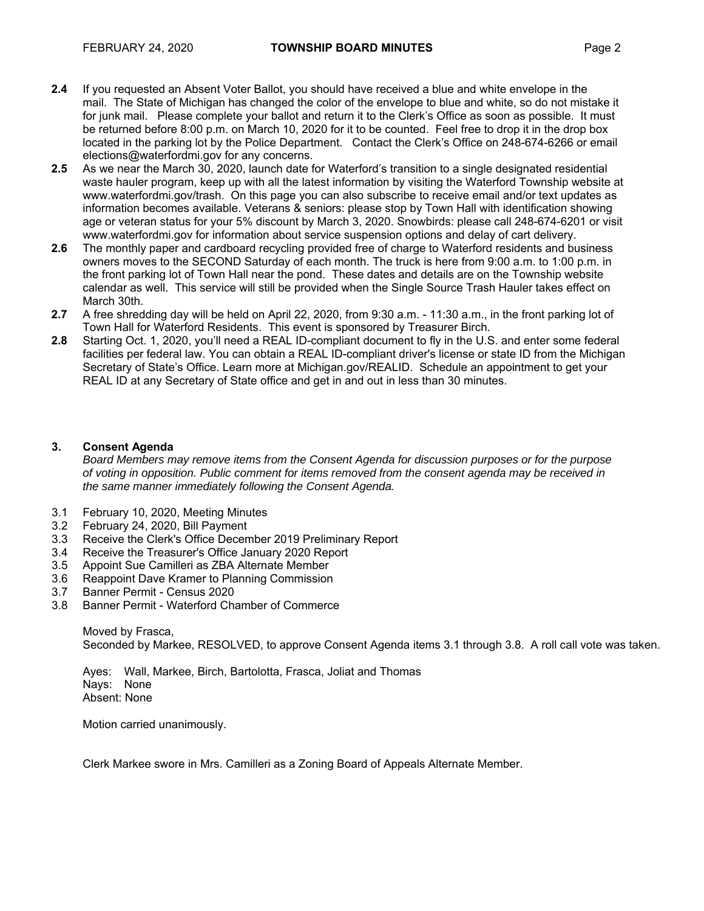- **2.4** If you requested an Absent Voter Ballot, you should have received a blue and white envelope in the mail. The State of Michigan has changed the color of the envelope to blue and white, so do not mistake it for junk mail. Please complete your ballot and return it to the Clerk's Office as soon as possible. It must be returned before 8:00 p.m. on March 10, 2020 for it to be counted. Feel free to drop it in the drop box located in the parking lot by the Police Department. Contact the Clerk's Office on 248-674-6266 or email elections@waterfordmi.gov for any concerns.
- **2.5** As we near the March 30, 2020, launch date for Waterford's transition to a single designated residential waste hauler program, keep up with all the latest information by visiting the Waterford Township website at www.waterfordmi.gov/trash. On this page you can also subscribe to receive email and/or text updates as information becomes available. Veterans & seniors: please stop by Town Hall with identification showing age or veteran status for your 5% discount by March 3, 2020. Snowbirds: please call 248-674-6201 or visit www.waterfordmi.gov for information about service suspension options and delay of cart delivery.
- **2.6** The monthly paper and cardboard recycling provided free of charge to Waterford residents and business owners moves to the SECOND Saturday of each month. The truck is here from 9:00 a.m. to 1:00 p.m. in the front parking lot of Town Hall near the pond. These dates and details are on the Township website calendar as well. This service will still be provided when the Single Source Trash Hauler takes effect on March 30th.
- **2.7** A free shredding day will be held on April 22, 2020, from 9:30 a.m. 11:30 a.m., in the front parking lot of Town Hall for Waterford Residents. This event is sponsored by Treasurer Birch.
- **2.8** Starting Oct. 1, 2020, you'll need a REAL ID-compliant document to fly in the U.S. and enter some federal facilities per federal law. You can obtain a REAL ID-compliant driver's license or state ID from the Michigan Secretary of State's Office. Learn more at Michigan.gov/REALID. Schedule an appointment to get your REAL ID at any Secretary of State office and get in and out in less than 30 minutes.

# **3. Consent Agenda**

*Board Members may remove items from the Consent Agenda for discussion purposes or for the purpose of voting in opposition. Public comment for items removed from the consent agenda may be received in the same manner immediately following the Consent Agenda.* 

- 3.1 February 10, 2020, Meeting Minutes
- 3.2 February 24, 2020, Bill Payment
- 3.3 Receive the Clerk's Office December 2019 Preliminary Report
- 3.4 Receive the Treasurer's Office January 2020 Report
- 3.5 Appoint Sue Camilleri as ZBA Alternate Member
- 3.6 Reappoint Dave Kramer to Planning Commission
- 3.7 Banner Permit Census 2020
- 3.8 Banner Permit Waterford Chamber of Commerce

Moved by Frasca, Seconded by Markee, RESOLVED, to approve Consent Agenda items 3.1 through 3.8. A roll call vote was taken.

Ayes: Wall, Markee, Birch, Bartolotta, Frasca, Joliat and Thomas Nays: None Absent: None

Motion carried unanimously.

Clerk Markee swore in Mrs. Camilleri as a Zoning Board of Appeals Alternate Member.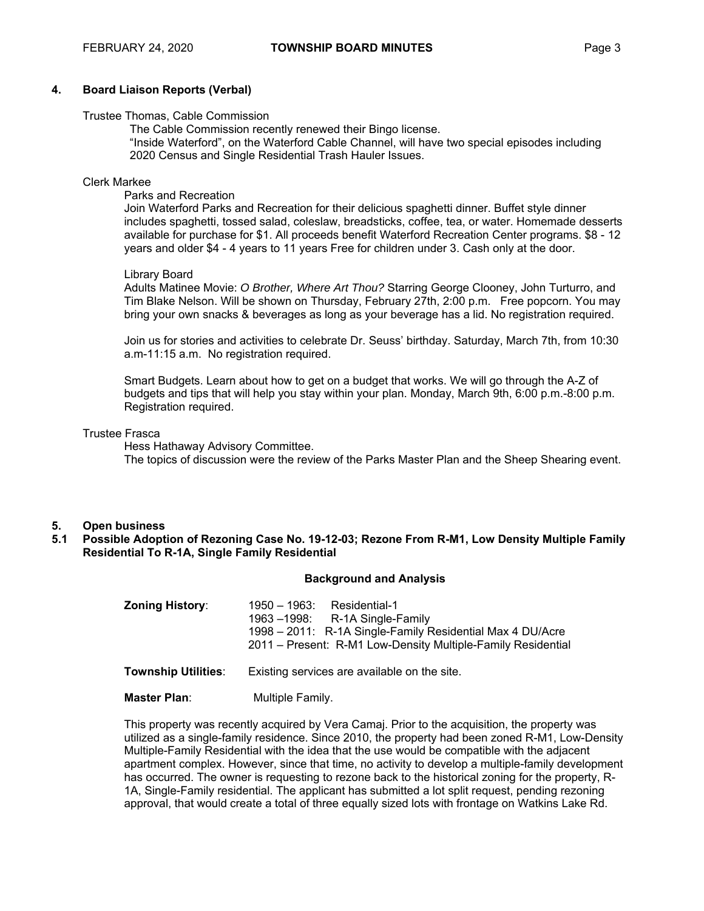#### **4. Board Liaison Reports (Verbal)**

#### Trustee Thomas, Cable Commission

 The Cable Commission recently renewed their Bingo license. "Inside Waterford", on the Waterford Cable Channel, will have two special episodes including 2020 Census and Single Residential Trash Hauler Issues.

#### Clerk Markee

#### Parks and Recreation

 Join Waterford Parks and Recreation for their delicious spaghetti dinner. Buffet style dinner includes spaghetti, tossed salad, coleslaw, breadsticks, coffee, tea, or water. Homemade desserts available for purchase for \$1. All proceeds benefit Waterford Recreation Center programs. \$8 - 12 years and older \$4 - 4 years to 11 years Free for children under 3. Cash only at the door.

#### Library Board

Adults Matinee Movie: *O Brother, Where Art Thou?* Starring George Clooney, John Turturro, and Tim Blake Nelson. Will be shown on Thursday, February 27th, 2:00 p.m. Free popcorn. You may bring your own snacks & beverages as long as your beverage has a lid. No registration required.

Join us for stories and activities to celebrate Dr. Seuss' birthday. Saturday, March 7th, from 10:30 a.m-11:15 a.m. No registration required.

Smart Budgets. Learn about how to get on a budget that works. We will go through the A-Z of budgets and tips that will help you stay within your plan. Monday, March 9th, 6:00 p.m.-8:00 p.m. Registration required.

#### Trustee Frasca

Hess Hathaway Advisory Committee. The topics of discussion were the review of the Parks Master Plan and the Sheep Shearing event.

#### **5. Open business**

**5.1 Possible Adoption of Rezoning Case No. 19-12-03; Rezone From R-M1, Low Density Multiple Family Residential To R-1A, Single Family Residential** 

#### **Background and Analysis**

| <b>Zoning History:</b>     | <u> 1950 – 1963: </u><br>Residential-1<br>1963 $-1998$ : R-1A Single-Family<br>1998 - 2011: R-1A Single-Family Residential Max 4 DU/Acre<br>2011 – Present: R-M1 Low-Density Multiple-Family Residential |
|----------------------------|----------------------------------------------------------------------------------------------------------------------------------------------------------------------------------------------------------|
| <b>Township Utilities:</b> | Existing services are available on the site.                                                                                                                                                             |
| <b>Master Plan:</b>        | Multiple Family.                                                                                                                                                                                         |

This property was recently acquired by Vera Camaj. Prior to the acquisition, the property was utilized as a single-family residence. Since 2010, the property had been zoned R-M1, Low-Density Multiple-Family Residential with the idea that the use would be compatible with the adjacent apartment complex. However, since that time, no activity to develop a multiple-family development has occurred. The owner is requesting to rezone back to the historical zoning for the property, R-1A, Single-Family residential. The applicant has submitted a lot split request, pending rezoning approval, that would create a total of three equally sized lots with frontage on Watkins Lake Rd.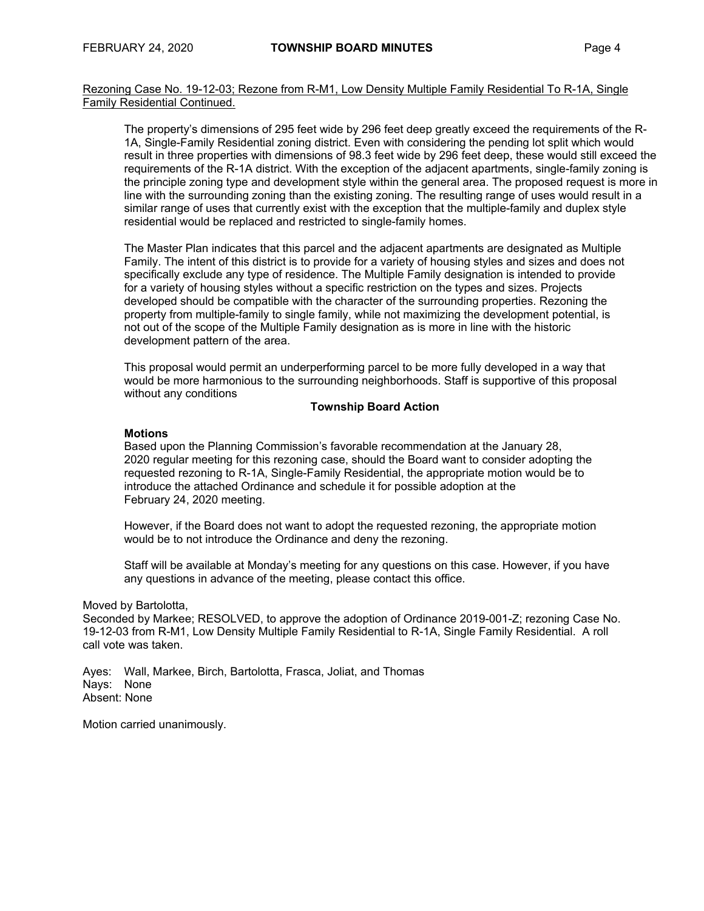Rezoning Case No. 19-12-03; Rezone from R-M1, Low Density Multiple Family Residential To R-1A, Single Family Residential Continued.

The property's dimensions of 295 feet wide by 296 feet deep greatly exceed the requirements of the R-1A, Single-Family Residential zoning district. Even with considering the pending lot split which would result in three properties with dimensions of 98.3 feet wide by 296 feet deep, these would still exceed the requirements of the R-1A district. With the exception of the adjacent apartments, single-family zoning is the principle zoning type and development style within the general area. The proposed request is more in line with the surrounding zoning than the existing zoning. The resulting range of uses would result in a similar range of uses that currently exist with the exception that the multiple-family and duplex style residential would be replaced and restricted to single-family homes.

The Master Plan indicates that this parcel and the adjacent apartments are designated as Multiple Family. The intent of this district is to provide for a variety of housing styles and sizes and does not specifically exclude any type of residence. The Multiple Family designation is intended to provide for a variety of housing styles without a specific restriction on the types and sizes. Projects developed should be compatible with the character of the surrounding properties. Rezoning the property from multiple-family to single family, while not maximizing the development potential, is not out of the scope of the Multiple Family designation as is more in line with the historic development pattern of the area.

This proposal would permit an underperforming parcel to be more fully developed in a way that would be more harmonious to the surrounding neighborhoods. Staff is supportive of this proposal without any conditions

#### **Township Board Action**

#### **Motions**

Based upon the Planning Commission's favorable recommendation at the January 28, 2020 regular meeting for this rezoning case, should the Board want to consider adopting the requested rezoning to R-1A, Single-Family Residential, the appropriate motion would be to introduce the attached Ordinance and schedule it for possible adoption at the February 24, 2020 meeting.

However, if the Board does not want to adopt the requested rezoning, the appropriate motion would be to not introduce the Ordinance and deny the rezoning.

Staff will be available at Monday's meeting for any questions on this case. However, if you have any questions in advance of the meeting, please contact this office.

Moved by Bartolotta,

Seconded by Markee; RESOLVED, to approve the adoption of Ordinance 2019-001-Z; rezoning Case No. 19-12-03 from R-M1, Low Density Multiple Family Residential to R-1A, Single Family Residential. A roll call vote was taken.

Ayes: Wall, Markee, Birch, Bartolotta, Frasca, Joliat, and Thomas Nays: None Absent: None

Motion carried unanimously.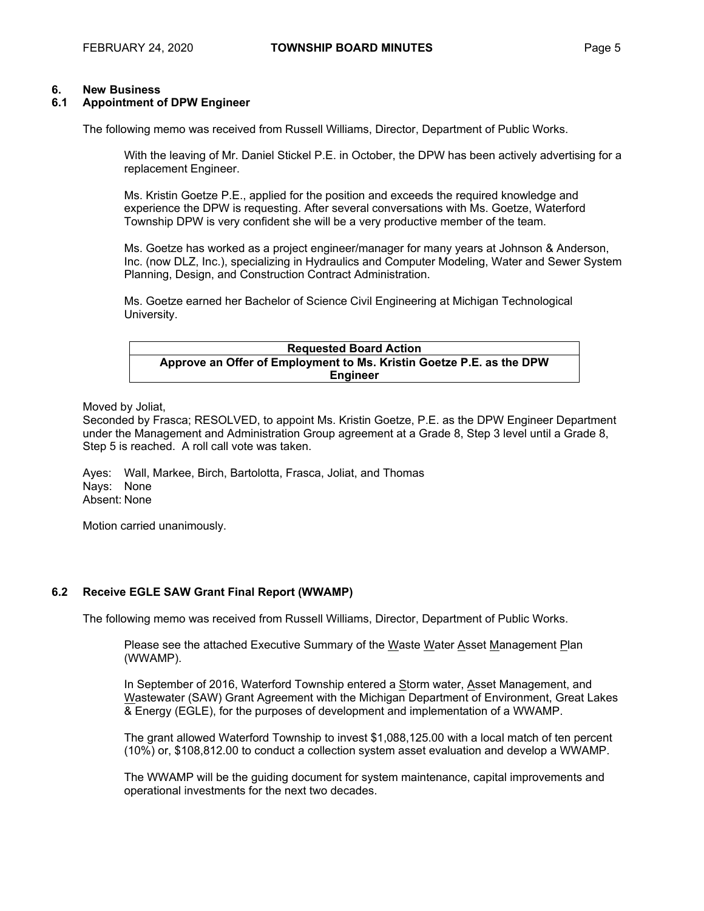#### **6. New Business**

#### **6.1 Appointment of DPW Engineer**

The following memo was received from Russell Williams, Director, Department of Public Works.

With the leaving of Mr. Daniel Stickel P.E. in October, the DPW has been actively advertising for a replacement Engineer.

Ms. Kristin Goetze P.E., applied for the position and exceeds the required knowledge and experience the DPW is requesting. After several conversations with Ms. Goetze, Waterford Township DPW is very confident she will be a very productive member of the team.

Ms. Goetze has worked as a project engineer/manager for many years at Johnson & Anderson, Inc. (now DLZ, Inc.), specializing in Hydraulics and Computer Modeling, Water and Sewer System Planning, Design, and Construction Contract Administration.

Ms. Goetze earned her Bachelor of Science Civil Engineering at Michigan Technological University.

**Requested Board Action Approve an Offer of Employment to Ms. Kristin Goetze P.E. as the DPW Engineer** 

Moved by Joliat,

Seconded by Frasca; RESOLVED, to appoint Ms. Kristin Goetze, P.E. as the DPW Engineer Department under the Management and Administration Group agreement at a Grade 8, Step 3 level until a Grade 8, Step 5 is reached. A roll call vote was taken.

Ayes: Wall, Markee, Birch, Bartolotta, Frasca, Joliat, and Thomas Nays: None Absent: None

Motion carried unanimously.

#### **6.2 Receive EGLE SAW Grant Final Report (WWAMP)**

The following memo was received from Russell Williams, Director, Department of Public Works.

Please see the attached Executive Summary of the Waste Water Asset Management Plan (WWAMP).

In September of 2016, Waterford Township entered a Storm water, Asset Management, and Wastewater (SAW) Grant Agreement with the Michigan Department of Environment, Great Lakes & Energy (EGLE), for the purposes of development and implementation of a WWAMP.

The grant allowed Waterford Township to invest \$1,088,125.00 with a local match of ten percent (10%) or, \$108,812.00 to conduct a collection system asset evaluation and develop a WWAMP.

The WWAMP will be the guiding document for system maintenance, capital improvements and operational investments for the next two decades.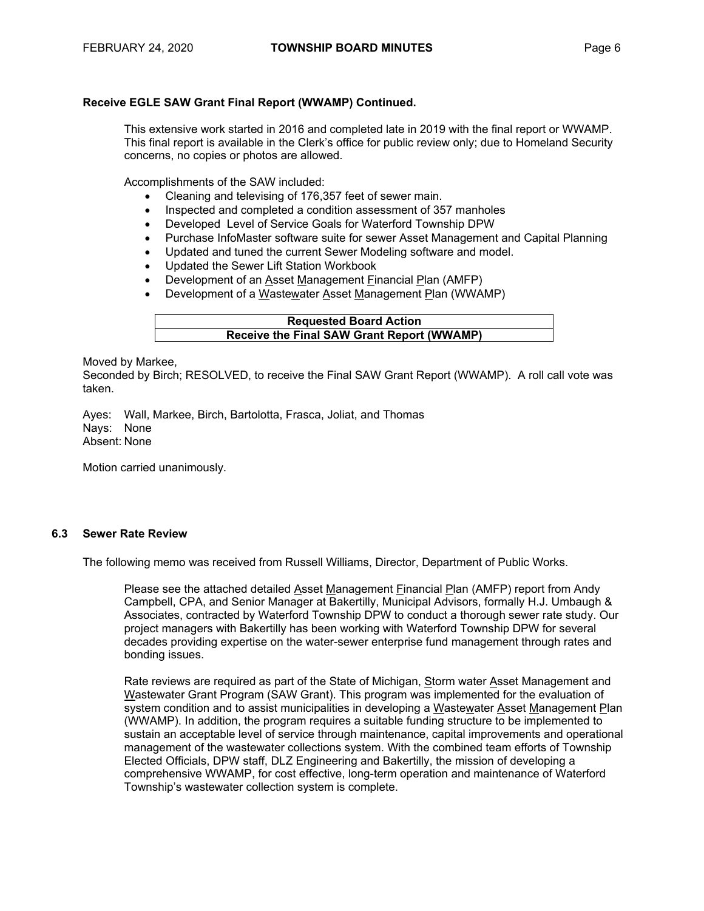#### **Receive EGLE SAW Grant Final Report (WWAMP) Continued.**

This extensive work started in 2016 and completed late in 2019 with the final report or WWAMP. This final report is available in the Clerk's office for public review only; due to Homeland Security concerns, no copies or photos are allowed.

Accomplishments of the SAW included:

- Cleaning and televising of 176,357 feet of sewer main.
- Inspected and completed a condition assessment of 357 manholes
- Developed Level of Service Goals for Waterford Township DPW
- Purchase InfoMaster software suite for sewer Asset Management and Capital Planning
- Updated and tuned the current Sewer Modeling software and model.
- Updated the Sewer Lift Station Workbook
- Development of an Asset Management Financial Plan (AMFP)
- Development of a Wastewater Asset Management Plan (WWAMP)

| <b>Requested Board Action</b>              |  |
|--------------------------------------------|--|
| Receive the Final SAW Grant Report (WWAMP) |  |
|                                            |  |

Moved by Markee,

Seconded by Birch; RESOLVED, to receive the Final SAW Grant Report (WWAMP). A roll call vote was taken.

Ayes: Wall, Markee, Birch, Bartolotta, Frasca, Joliat, and Thomas Nays: None Absent: None

Motion carried unanimously.

#### **6.3 Sewer Rate Review**

The following memo was received from Russell Williams, Director, Department of Public Works.

Please see the attached detailed Asset Management Financial Plan (AMFP) report from Andy Campbell, CPA, and Senior Manager at Bakertilly, Municipal Advisors, formally H.J. Umbaugh & Associates, contracted by Waterford Township DPW to conduct a thorough sewer rate study. Our project managers with Bakertilly has been working with Waterford Township DPW for several decades providing expertise on the water-sewer enterprise fund management through rates and bonding issues.

Rate reviews are required as part of the State of Michigan, Storm water Asset Management and Wastewater Grant Program (SAW Grant). This program was implemented for the evaluation of system condition and to assist municipalities in developing a Wastewater Asset Management Plan (WWAMP). In addition, the program requires a suitable funding structure to be implemented to sustain an acceptable level of service through maintenance, capital improvements and operational management of the wastewater collections system. With the combined team efforts of Township Elected Officials, DPW staff, DLZ Engineering and Bakertilly, the mission of developing a comprehensive WWAMP, for cost effective, long-term operation and maintenance of Waterford Township's wastewater collection system is complete.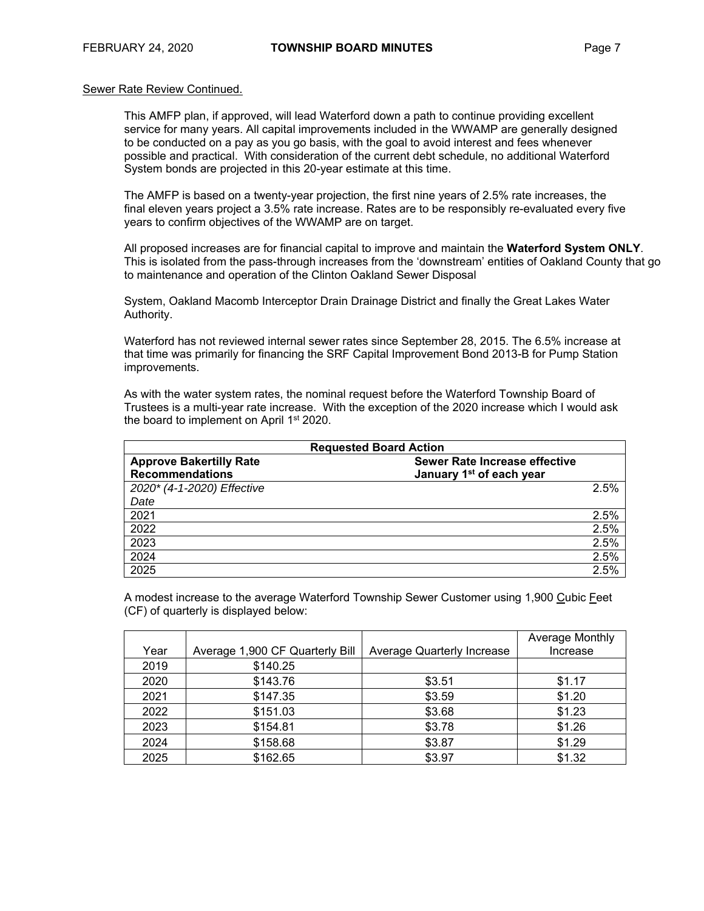#### Sewer Rate Review Continued.

This AMFP plan, if approved, will lead Waterford down a path to continue providing excellent service for many years. All capital improvements included in the WWAMP are generally designed to be conducted on a pay as you go basis, with the goal to avoid interest and fees whenever possible and practical. With consideration of the current debt schedule, no additional Waterford System bonds are projected in this 20-year estimate at this time.

The AMFP is based on a twenty-year projection, the first nine years of 2.5% rate increases, the final eleven years project a 3.5% rate increase. Rates are to be responsibly re-evaluated every five years to confirm objectives of the WWAMP are on target.

All proposed increases are for financial capital to improve and maintain the **Waterford System ONLY**. This is isolated from the pass-through increases from the 'downstream' entities of Oakland County that go to maintenance and operation of the Clinton Oakland Sewer Disposal

System, Oakland Macomb Interceptor Drain Drainage District and finally the Great Lakes Water Authority.

Waterford has not reviewed internal sewer rates since September 28, 2015. The 6.5% increase at that time was primarily for financing the SRF Capital Improvement Bond 2013-B for Pump Station improvements.

As with the water system rates, the nominal request before the Waterford Township Board of Trustees is a multi-year rate increase. With the exception of the 2020 increase which I would ask the board to implement on April 1<sup>st</sup> 2020.

|                                | <b>Requested Board Action</b>        |  |  |  |  |  |  |
|--------------------------------|--------------------------------------|--|--|--|--|--|--|
| <b>Approve Bakertilly Rate</b> | Sewer Rate Increase effective        |  |  |  |  |  |  |
| <b>Recommendations</b>         | January 1 <sup>st</sup> of each year |  |  |  |  |  |  |
| 2020* (4-1-2020) Effective     | 2.5%                                 |  |  |  |  |  |  |
| Date                           |                                      |  |  |  |  |  |  |
| 2021                           | 2.5%                                 |  |  |  |  |  |  |
| 2022                           | 2.5%                                 |  |  |  |  |  |  |
| 2023                           | 2.5%                                 |  |  |  |  |  |  |
| 2024                           | 2.5%                                 |  |  |  |  |  |  |
| 2025                           | 2.5%                                 |  |  |  |  |  |  |

A modest increase to the average Waterford Township Sewer Customer using 1,900 Cubic Feet (CF) of quarterly is displayed below:

|      |                                 |                            | Average Monthly |
|------|---------------------------------|----------------------------|-----------------|
| Year | Average 1,900 CF Quarterly Bill | Average Quarterly Increase | Increase        |
| 2019 | \$140.25                        |                            |                 |
| 2020 | \$143.76                        | \$3.51                     | \$1.17          |
| 2021 | \$147.35                        | \$3.59                     | \$1.20          |
| 2022 | \$151.03                        | \$3.68                     | \$1.23          |
| 2023 | \$154.81                        | \$3.78                     | \$1.26          |
| 2024 | \$158.68                        | \$3.87                     | \$1.29          |
| 2025 | \$162.65                        | \$3.97                     | \$1.32          |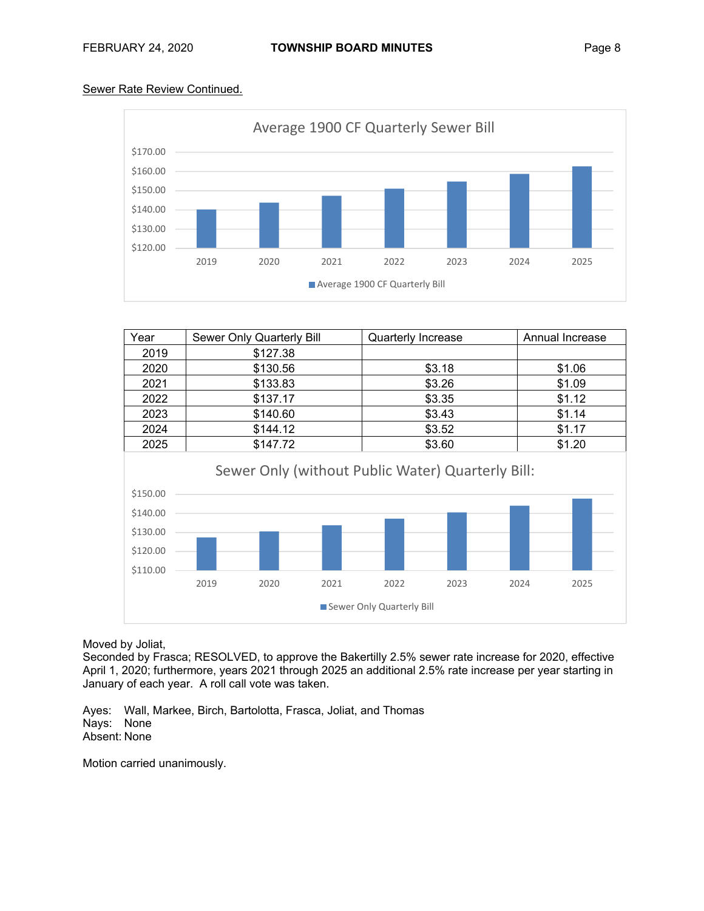# Sewer Rate Review Continued.



| Year                                                     |      | Sewer Only Quarterly Bill |      | Quarterly Increase                                                                     |        |      | Annual Increase |  |  |
|----------------------------------------------------------|------|---------------------------|------|----------------------------------------------------------------------------------------|--------|------|-----------------|--|--|
| 2019                                                     |      | \$127.38                  |      |                                                                                        |        |      |                 |  |  |
| 2020                                                     |      | \$130.56                  |      |                                                                                        | \$3.18 |      | \$1.06          |  |  |
| 2021                                                     |      | \$133.83                  |      |                                                                                        | \$3.26 |      | \$1.09          |  |  |
| 2022                                                     |      | \$137.17                  |      |                                                                                        | \$3.35 |      | \$1.12          |  |  |
| 2023                                                     |      | \$140.60                  |      |                                                                                        | \$3.43 |      | \$1.14          |  |  |
| 2024                                                     |      | \$144.12                  |      |                                                                                        | \$3.52 |      | \$1.17          |  |  |
| 2025                                                     |      | \$147.72                  |      |                                                                                        | \$3.60 |      | \$1.20          |  |  |
| \$150.00<br>\$140.00<br>\$130.00<br>\$120.00<br>\$110.00 | 2019 | 2020                      | 2021 | Sewer Only (without Public Water) Quarterly Bill:<br>2022<br>Sewer Only Quarterly Bill | 2023   | 2024 | 2025            |  |  |

Moved by Joliat,

Seconded by Frasca; RESOLVED, to approve the Bakertilly 2.5% sewer rate increase for 2020, effective April 1, 2020; furthermore, years 2021 through 2025 an additional 2.5% rate increase per year starting in January of each year. A roll call vote was taken.

Ayes: Wall, Markee, Birch, Bartolotta, Frasca, Joliat, and Thomas Nays: None Absent: None

Motion carried unanimously.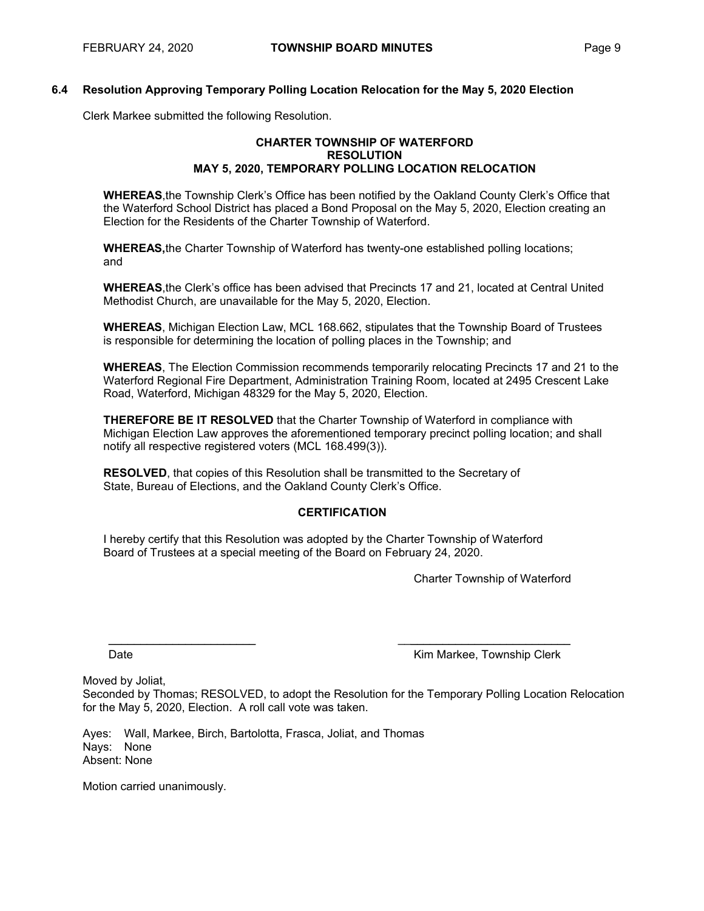#### **6.4 Resolution Approving Temporary Polling Location Relocation for the May 5, 2020 Election**

Clerk Markee submitted the following Resolution.

#### **CHARTER TOWNSHIP OF WATERFORD RESOLUTION MAY 5, 2020, TEMPORARY POLLING LOCATION RELOCATION**

**WHEREAS**, the Township Clerk's Office has been notified by the Oakland County Clerk's Office that the Waterford School District has placed a Bond Proposal on the May 5, 2020, Election creating an Election for the Residents of the Charter Township of Waterford.

**WHEREAS,** the Charter Township of Waterford has twenty-one established polling locations; and

**WHEREAS**, the Clerk's office has been advised that Precincts 17 and 21, located at Central United Methodist Church, are unavailable for the May 5, 2020, Election.

**WHEREAS**, Michigan Election Law, MCL 168.662, stipulates that the Township Board of Trustees is responsible for determining the location of polling places in the Township; and

**WHEREAS**, The Election Commission recommends temporarily relocating Precincts 17 and 21 to the Waterford Regional Fire Department, Administration Training Room, located at 2495 Crescent Lake Road, Waterford, Michigan 48329 for the May 5, 2020, Election.

**THEREFORE BE IT RESOLVED** that the Charter Township of Waterford in compliance with Michigan Election Law approves the aforementioned temporary precinct polling location; and shall notify all respective registered voters (MCL 168.499(3)).

**RESOLVED**, that copies of this Resolution shall be transmitted to the Secretary of State, Bureau of Elections, and the Oakland County Clerk's Office.

# **CERTIFICATION**

I hereby certify that this Resolution was adopted by the Charter Township of Waterford Board of Trustees at a special meeting of the Board on February 24, 2020.

Charter Township of Waterford

Date **Communist Clerk** Communist Communist Clerk Communist Communist Clerk Communist Clerk Communist Clerk Communist Clerk

Moved by Joliat, Seconded by Thomas; RESOLVED, to adopt the Resolution for the Temporary Polling Location Relocation for the May 5, 2020, Election. A roll call vote was taken.

\_\_\_\_\_\_\_\_\_\_\_\_\_\_\_\_\_\_\_\_\_\_\_ \_\_\_\_\_\_\_\_\_\_\_\_\_\_\_\_\_\_\_\_\_\_\_\_\_\_\_

Ayes: Wall, Markee, Birch, Bartolotta, Frasca, Joliat, and Thomas Nays: None Absent: None

Motion carried unanimously.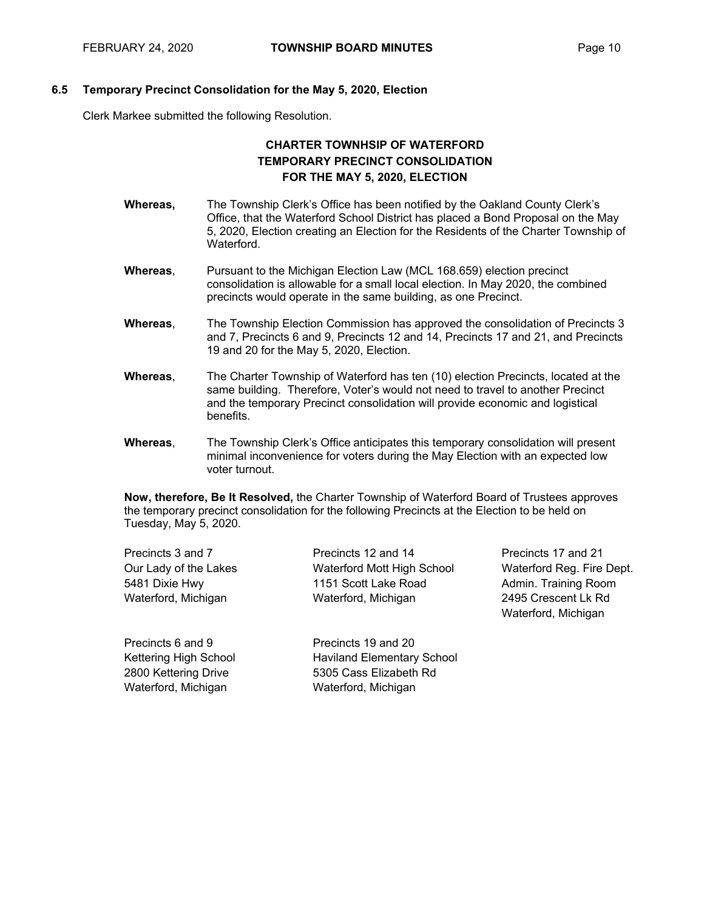#### **6.5 Temporary Precinct Consolidation for the May 5, 2020, Election**

Clerk Markee submitted the following Resolution.

# **CHARTER TOWNHSIP OF WATERFORD TEMPORARY PRECINCT CONSOLIDATION FOR THE MAY 5, 2020, ELECTION**

- **Whereas,** The Township Clerk's Office has been notified by the Oakland County Clerk's Office, that the Waterford School District has placed a Bond Proposal on the May 5, 2020, Election creating an Election for the Residents of the Charter Township of Waterford.
- **Whereas**, Pursuant to the Michigan Election Law (MCL 168.659) election precinct consolidation is allowable for a small local election. In May 2020, the combined precincts would operate in the same building, as one Precinct.
- **Whereas**, The Township Election Commission has approved the consolidation of Precincts 3 and 7, Precincts 6 and 9, Precincts 12 and 14, Precincts 17 and 21, and Precincts 19 and 20 for the May 5, 2020, Election.
- **Whereas**, The Charter Township of Waterford has ten (10) election Precincts, located at the same building. Therefore, Voter's would not need to travel to another Precinct and the temporary Precinct consolidation will provide economic and logistical benefits.
- **Whereas**, The Township Clerk's Office anticipates this temporary consolidation will present minimal inconvenience for voters during the May Election with an expected low voter turnout.

**Now, therefore, Be It Resolved,** the Charter Township of Waterford Board of Trustees approves the temporary precinct consolidation for the following Precincts at the Election to be held on Tuesday, May 5, 2020.

| Precincts 3 and 7     | Precincts 12 and 14        | Pre |
|-----------------------|----------------------------|-----|
| Our Lady of the Lakes | Waterford Mott High School | Wε  |
| 5481 Dixie Hwy        | 1151 Scott Lake Road       | Adı |
| Waterford, Michigan   | Waterford, Michigan        | 249 |
|                       |                            | W۶  |

ecincts 17 and 21 terford Reg. Fire Dept. min. Training Room 2495 Crescent Lk Rd Waterford, Michigan

Precincts 6 and 9 Kettering High School 2800 Kettering Drive Waterford, Michigan

Precincts 19 and 20 Haviland Elementary School 5305 Cass Elizabeth Rd Waterford, Michigan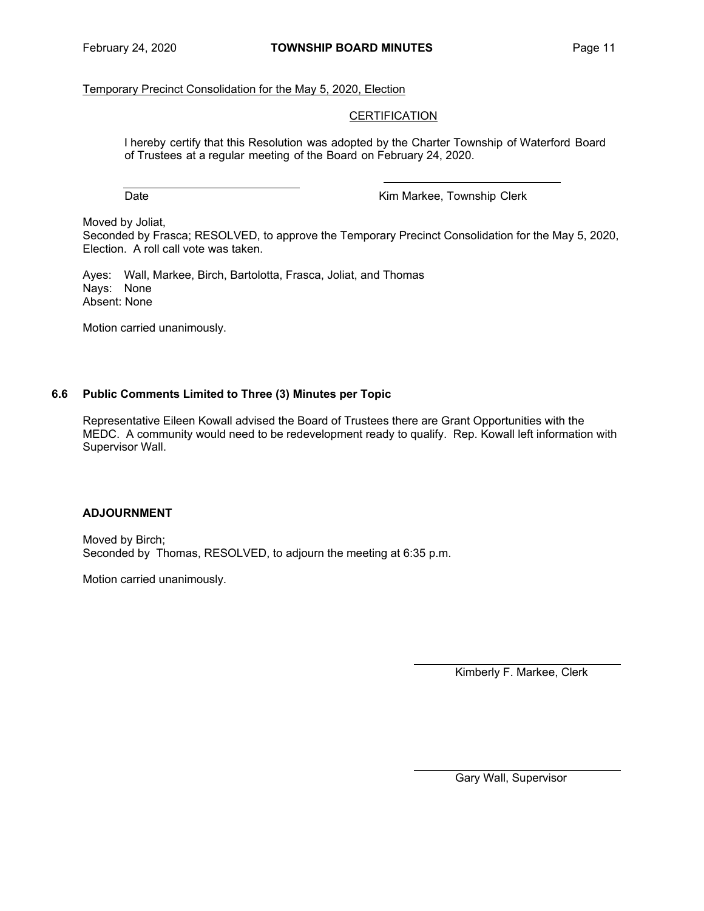# Temporary Precinct Consolidation for the May 5, 2020, Election

#### **CERTIFICATION**

I hereby certify that this Resolution was adopted by the Charter Township of Waterford Board of Trustees at a regular meeting of the Board on February 24, 2020.

Date **Date Contract Contract Contract Contract Contract Contract Contract Contract Contract Contract Contract Contract Contract Contract Contract Contract Contract Contract Contract Contract Contract Contract Contract Co** 

Moved by Joliat,

Seconded by Frasca; RESOLVED, to approve the Temporary Precinct Consolidation for the May 5, 2020, Election. A roll call vote was taken.

Ayes: Wall, Markee, Birch, Bartolotta, Frasca, Joliat, and Thomas Nays: None Absent: None

Motion carried unanimously.

#### **6.6 Public Comments Limited to Three (3) Minutes per Topic**

Representative Eileen Kowall advised the Board of Trustees there are Grant Opportunities with the MEDC. A community would need to be redevelopment ready to qualify. Rep. Kowall left information with Supervisor Wall.

# **ADJOURNMENT**

Moved by Birch; Seconded by Thomas, RESOLVED, to adjourn the meeting at 6:35 p.m.

Motion carried unanimously.

Kimberly F. Markee, Clerk

Gary Wall, Supervisor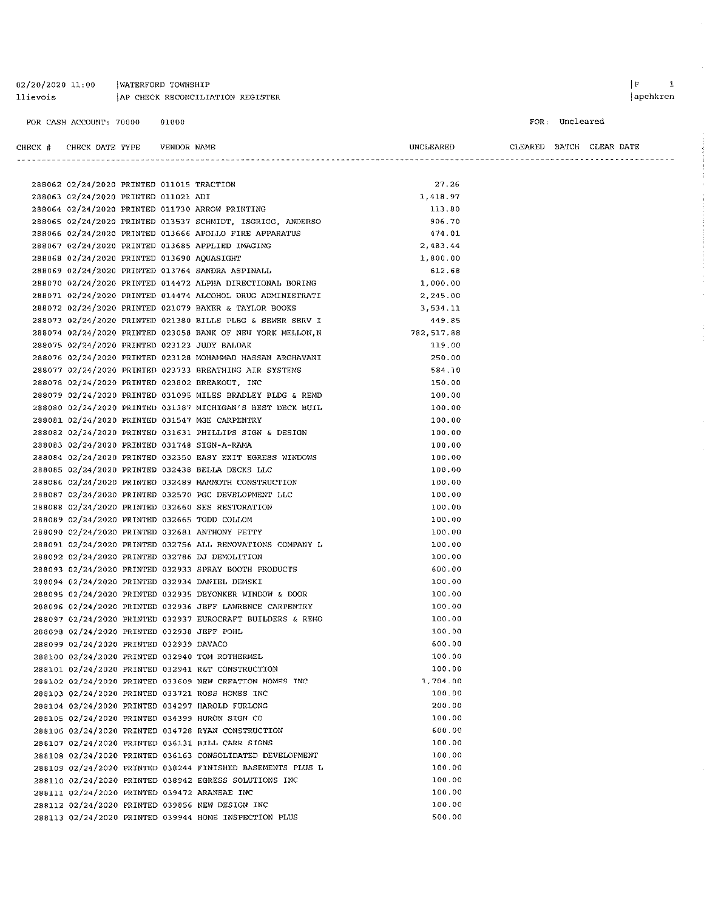| 02/20/2020 11:00 | WATERFORD TOWNSHIP               |
|------------------|----------------------------------|
| llievois         | AP CHECK RECONCILIATION REGISTER |

apchkrcn

```
FOR: Uncleared
```

| CHECK # | CHECK DATE TYPE |  | VENDOR NAME |  |
|---------|-----------------|--|-------------|--|
|         |                 |  |             |  |

| LEARET<br>UNCI | LEARED | ватсн | CLEAR. | DATE |
|----------------|--------|-------|--------|------|
|                |        |       |        |      |

|  | 288062 02/24/2020 PRINTED 011015 TRACTION  |  |                                                             | 27.26      |  |
|--|--------------------------------------------|--|-------------------------------------------------------------|------------|--|
|  | 288063 02/24/2020 PRINTED 011021 ADI       |  |                                                             | 1,418.97   |  |
|  |                                            |  | 288064 02/24/2020 PRINTED 011730 ARROW PRINTING             | 113.80     |  |
|  |                                            |  | 288065 02/24/2020 PRINTED 013537 SCHMIDT, ISGRIGG, ANDERSO  | 906,70     |  |
|  |                                            |  | 288066 02/24/2020 PRINTED 013666 APOLLO FIRE APPARATUS      | 474.01     |  |
|  |                                            |  | 288067 02/24/2020 PRINTED 013685 APPLIED IMAGING            | 2,483.44   |  |
|  | 288068 02/24/2020 PRINTED 013690 AQUASIGHT |  |                                                             | 1,800.00   |  |
|  |                                            |  | 288069 02/24/2020 PRINTED 013764 SANDRA ASPINALL            | 612.68     |  |
|  |                                            |  | 288070 02/24/2020 PRINTED 014472 ALPHA DIRECTIONAL BORING   | 1,000.00   |  |
|  |                                            |  | 288071 02/24/2020 PRINTED 014474 ALCOHOL DRUG ADMINISTRATI  | 2,245.00   |  |
|  |                                            |  | 288072 02/24/2020 PRINTED 021079 BAKER & TAYLOR BOOKS       | 3,534.11   |  |
|  |                                            |  | 288073 02/24/2020 PRINTED 021380 BILLS PLBG & SEWER SERV I  | 449.85     |  |
|  |                                            |  | 288074 02/24/2020 PRINTED 023058 BANK OF NEW YORK MELLON, N | 782,517.88 |  |
|  |                                            |  | 288075 02/24/2020 PRINTED 023123 JUDY BALDAK                | 119.00     |  |
|  |                                            |  | 288076 02/24/2020 PRINTED 023128 MOHAMMAD HASSAN ARGHAVANI  | 250.00     |  |
|  |                                            |  | 288077 02/24/2020 PRINTED 023733 BREATHING AIR SYSTEMS      | 584.10     |  |
|  |                                            |  | 288078 02/24/2020 PRINTED 023802 BREAKOUT, INC              | 150.00     |  |
|  |                                            |  | 288079 02/24/2020 PRINTED 031095 MILES BRADLEY BLDG & REMD  | 100.00     |  |
|  |                                            |  | 288080 02/24/2020 PRINTED 031387 MICHIGAN'S BEST DECK BUIL  | 100.00     |  |
|  |                                            |  | 288081 02/24/2020 PRINTED 031547 MGE CARPENTRY              | 100.00     |  |
|  |                                            |  | 288082 02/24/2020 PRINTED 031631 PHILLIPS SIGN & DESIGN     | 100.00     |  |
|  |                                            |  | 288083 02/24/2020 PRINTED 031748 SIGN-A-RAMA                | 100.00     |  |
|  |                                            |  | 288084 02/24/2020 PRINTED 032350 EASY EXIT EGRESS WINDOWS   | 100.00     |  |
|  |                                            |  | 288085 02/24/2020 PRINTED 032438 BELLA DECKS LLC            | 100.00     |  |
|  |                                            |  | 288086 02/24/2020 PRINTED 032489 MAMMOTH CONSTRUCTION       | 100.00     |  |
|  |                                            |  | 288087 02/24/2020 PRINTED 032570 PGC DEVELOPMENT LLC        | 100.00     |  |
|  |                                            |  | 288088 02/24/2020 PRINTED 032660 SES RESTORATION            | 100.00     |  |
|  |                                            |  | 288089 02/24/2020 PRINTED 032665 TODD COLLOM                | 100.00     |  |
|  |                                            |  | 288090 02/24/2020 PRINTED 032681 ANTHONY PETTY              | 100.00     |  |
|  |                                            |  | 288091 02/24/2020 PRINTED 032756 ALL RENOVATIONS COMPANY L  | 100.00     |  |
|  |                                            |  | 288092 02/24/2020 PRINTED 032786 DJ DEMOLITION              | 100.00     |  |
|  |                                            |  | 288093 02/24/2020 PRINTED 032933 SPRAY BOOTH PRODUCTS       | 600.00     |  |
|  |                                            |  | 288094 02/24/2020 PRINTED 032934 DANIEL DEMSKI              | 100.00     |  |
|  |                                            |  | 288095 02/24/2020 PRINTED 032935 DEYONKER WINDOW & DOOR     | 100.00     |  |
|  |                                            |  | 288096 02/24/2020 PRINTED 032936 JEFF LAWRENCE CARPENTRY    | 100.00     |  |
|  |                                            |  | 288097 02/24/2020 PRINTED 032937 EUROCRAFT BUILDERS & REMO  | 100.00     |  |
|  | 288098 02/24/2020 PRINTED 032938 JEFF POHL |  |                                                             | 100.00     |  |
|  | 288099 02/24/2020 PRINTED 032939 DAVACO    |  |                                                             | 600.00     |  |
|  |                                            |  | 288100 02/24/2020 PRINTED 032940 TOM ROTHERMEL              | 100.00     |  |
|  |                                            |  | 288101 02/24/2020 PRINTED 032941 R&T CONSTRUCTION           | 100.00     |  |
|  |                                            |  | 288102 02/24/2020 PRINTED 033609 NEW CREATION HOMES INC     | 1,704.00   |  |
|  |                                            |  | 288103 02/24/2020 PRINTED 033721 ROSS HOMES INC             | 100.00     |  |
|  |                                            |  | 288104 02/24/2020 PRINTED 034297 HAROLD FURLONG             | 200.00     |  |
|  |                                            |  | 288105 02/24/2020 PRINTED 034399 HURON SIGN CO              | 100.00     |  |
|  |                                            |  | 288106 02/24/2020 PRINTED 034728 RYAN CONSTRUCTION          | 600.00     |  |
|  |                                            |  | 288107 02/24/2020 PRINTED 036131 BILL CARR SIGNS            | 100.00     |  |
|  |                                            |  | 288108 02/24/2020 PRINTED 036163 CONSOLIDATED DEVELOPMENT   | 100.00     |  |
|  |                                            |  | 288109 02/24/2020 PRINTED 038244 FINISHED BASEMENTS PLUS L  | 100.00     |  |
|  |                                            |  | 288110 02/24/2020 PRINTED 038942 EGRESS SOLUTIONS INC       | 100.00     |  |
|  |                                            |  | 288111 02/24/2020 PRINTED 039472 ARANEAE INC                | 100.00     |  |
|  |                                            |  | 288112 02/24/2020 PRINTED 039856 NEW DESIGN INC             | 100.00     |  |
|  |                                            |  | 288113 02/24/2020 PRINTED 039944 HOME INSPECTION PLUS       | 500.00     |  |
|  |                                            |  |                                                             |            |  |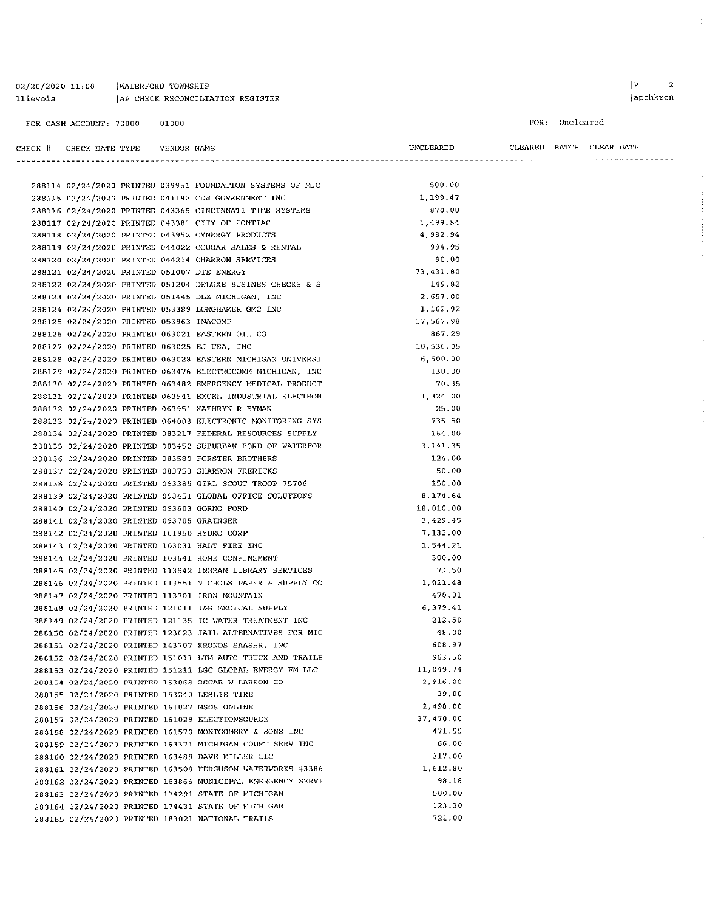| $02/20/2020$ 11:00 | WATERFORD TOWNSHIP               |
|--------------------|----------------------------------|
| llievois           | AP CHECK RECONCILIATION REGISTER |

FOR CASH ACCOUNT: 70000 01000

 $\begin{array}{ccc} \mid \texttt{P} & \hspace{1.5cm} \texttt{2} \end{array}$ apchkrcn

 $\sim 10^{-1}$ 

#### FOR: Uncleared

| CHECK # CHECK DATE TYPE                   | VENDOR NAME |                                                            | UNCLEARED       | CLEARED BATCH CLEAR DATE |  |
|-------------------------------------------|-------------|------------------------------------------------------------|-----------------|--------------------------|--|
|                                           |             |                                                            |                 |                          |  |
|                                           |             | 288114 02/24/2020 PRINTED 039951 FOUNDATION SYSTEMS OF MIC | 500.00          |                          |  |
|                                           |             | 288115 02/24/2020 PRINTED 041192 CDW GOVERNMENT INC        | 1,199.47        |                          |  |
|                                           |             | 288116 02/24/2020 PRINTED 043365 CINCINNATI TIME SYSTEMS   | 870.00          |                          |  |
|                                           |             | 288117 02/24/2020 PRINTED 043381 CITY OF PONTIAC           | 1,499.84        |                          |  |
|                                           |             | 288118 02/24/2020 PRINTED 043952 CYNERGY PRODUCTS          | 4,982.94        |                          |  |
|                                           |             | 288119 02/24/2020 PRINTED 044022 COUGAR SALES & RENTAL     | 994.95          |                          |  |
|                                           |             | 288120 02/24/2020 PRINTED 044214 CHARRON SERVICES          | 90.00           |                          |  |
|                                           |             | 288121 02/24/2020 PRINTED 051007 DTE ENERGY                | 73,431.80       |                          |  |
|                                           |             | 288122 02/24/2020 PRINTED 051204 DELUXE BUSINES CHECKS & S | 149.82          |                          |  |
|                                           |             | 288123 02/24/2020 PRINTED 051445 DLZ MICHIGAN, INC         | 2,657.00        |                          |  |
|                                           |             | 288124 02/24/2020 PRINTED 053389 LUNGHAMER GMC INC         | 1,162.92        |                          |  |
| 288125 02/24/2020 PRINTED 053963 INACOMP  |             |                                                            | 17,567.98       |                          |  |
|                                           |             | 288126 02/24/2020 PRINTED 063021 EASTERN OIL CO            | 867.29          |                          |  |
|                                           |             | 288127 02/24/2020 PRINTED 063025 EJ USA, INC               | 10,536.05       |                          |  |
|                                           |             | 288128 02/24/2020 PRINTED 063028 EASTERN MICHIGAN UNIVERSI | 6,500.00        |                          |  |
|                                           |             | 288129 02/24/2020 PRINTED 063476 ELECTROCOM4-MICHIGAN, INC | 130.00          |                          |  |
|                                           |             | 288130 02/24/2020 PRINTED 063482 EMERGENCY MEDICAL PRODUCT | 70.35           |                          |  |
|                                           |             | 288131 02/24/2020 PRINTED 063941 EXCEL INDUSTRIAL ELECTRON | 1,324.00        |                          |  |
|                                           |             | 288132 02/24/2020 PRINTED 063951 KATHRYN R EYMAN           | 25.00           |                          |  |
|                                           |             | 288133 02/24/2020 PRINTED 064008 ELECTRONIC MONITORING SYS | 735.50          |                          |  |
|                                           |             | 288134 02/24/2020 PRINTED 083217 FEDERAL RESOURCES SUPPLY  | 164.00          |                          |  |
|                                           |             | 288135 02/24/2020 PRINTED 083452 SUBURBAN FORD OF WATERFOR | 3,141.35        |                          |  |
|                                           |             | 288136 02/24/2020 PRINTED 083580 FORSTER BROTHERS          | 124.00          |                          |  |
|                                           |             | 288137 02/24/2020 PRINTED 083753 SHARRON FRERICKS          | 50.00           |                          |  |
|                                           |             | 288138 02/24/2020 PRINTED 093385 GIRL SCOUT TROOP 75706    | 150.00          |                          |  |
|                                           |             | 288139 02/24/2020 PRINTED 093451 GLOBAL OFFICE SOLUTIONS   | 8,174.64        |                          |  |
|                                           |             | 288140 02/24/2020 PRINTED 093603 GORNO FORD                | 18,010.00       |                          |  |
|                                           |             |                                                            | 3,429.45        |                          |  |
| 288141 02/24/2020 PRINTED 093705 GRAINGER |             |                                                            | 7,132.00        |                          |  |
|                                           |             | 288142 02/24/2020 PRINTED 101950 HYDRO CORP                |                 |                          |  |
|                                           |             | 288143 02/24/2020 PRINTED 103031 HALT FIRE INC             | 1,544.21        |                          |  |
|                                           |             | 288144 02/24/2020 PRINTED 103641 HOME CONFINEMENT          | 300.00<br>71.50 |                          |  |
|                                           |             | 288145 02/24/2020 PRINTED 113542 INGRAM LIBRARY SERVICES   |                 |                          |  |
|                                           |             | 288146 02/24/2020 PRINTED 113551 NICHOLS PAPER & SUPPLY CO | 1,011.48        |                          |  |
|                                           |             | 288147 02/24/2020 PRINTED 113701 IRON MOUNTAIN             | 470.01          |                          |  |
|                                           |             | 288148 02/24/2020 PRINTED 121011 J&B MEDICAL SUPPLY        | 6,379.41        |                          |  |
|                                           |             | 288149 02/24/2020 PRINTED 121135 JC WATER TREATMENT INC    | 212.50          |                          |  |
|                                           |             | 288150 02/24/2020 PRINTED 123023 JAIL ALTERNATIVES FOR MIC | 48.00           |                          |  |
|                                           |             | 288151 02/24/2020 PRINTED 143707 KRONOS SAASHR, INC        | 608.97          |                          |  |
|                                           |             | 288152 02/24/2020 PRINTED 151011 LTM AUTO TRUCK AND TRAILE | 963.50          |                          |  |
|                                           |             | 288153 02/24/2020 PRINTED 151211 LGC GLOBAL ENERGY FM LLC  | 11,049.74       |                          |  |
|                                           |             | 288154 02/24/2020 PRINTED 153068 OSCAR W LARSON CO         | 2,916.00        |                          |  |
|                                           |             | 288155 02/24/2020 PRINTED 153240 LESLIE TIRE               | 39.00           |                          |  |
|                                           |             | 288156 02/24/2020 PRINTED 161027 MSDS ONLINE               | 2,498.00        |                          |  |
|                                           |             | 288157 02/24/2020 PRINTED 161029 ELECTIONSOURCE            | 37,470.00       |                          |  |
|                                           |             | 288158 02/24/2020 PRINTED 161570 MONTGOMERY & SONS INC     | 471.55          |                          |  |
|                                           |             | 288159 02/24/2020 PRINTED 163371 MICHIGAN COURT SERV INC   | 66.00           |                          |  |
|                                           |             | 288160 02/24/2020 PRINTED 163489 DAVE MILLER LLC           | 317.00          |                          |  |
|                                           |             | 288161 02/24/2020 PRINTED 163508 FERGUSON WATERWORKS #3386 | 1,612.80        |                          |  |
|                                           |             | 288162 02/24/2020 PRINTED 163866 MUNICIPAL EMERGENCY SERVI | 198.18          |                          |  |
|                                           |             | 288163 02/24/2020 PRINTED 174291 STATE OF MICHIGAN         | 500.00          |                          |  |
|                                           |             | 288164 02/24/2020 PRINTED 174431 STATE OF MICHIGAN         | 123.30          |                          |  |
|                                           |             | 288165 02/24/2020 PRINTED 183021 NATIONAL TRAILS           | 721.00          |                          |  |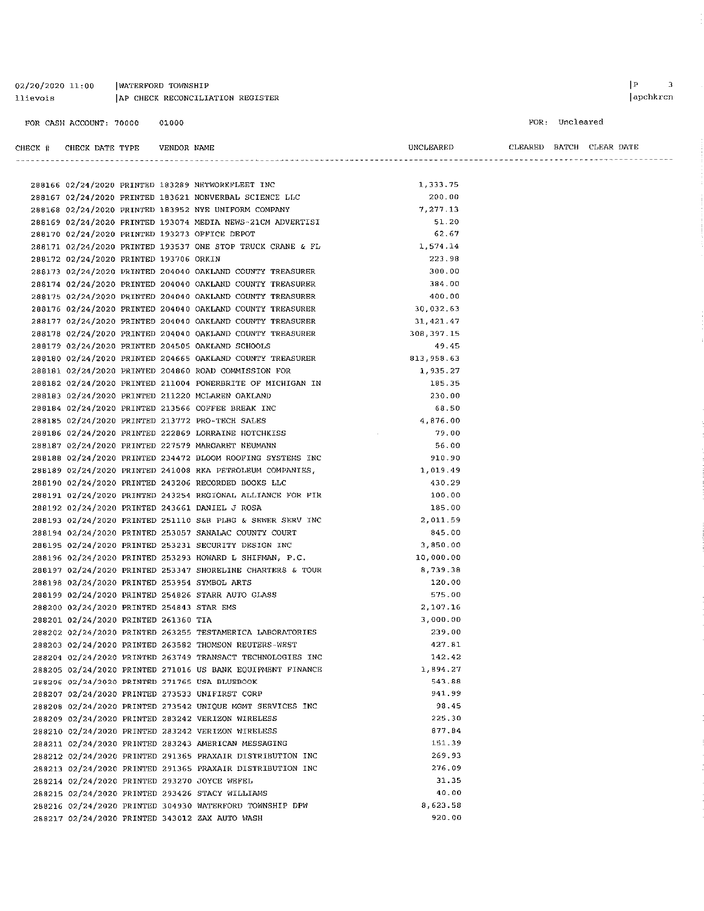WATERFORD TOWNSHIP 02/20/2020 11:00 llievois AP CHECK RECONCILIATION REGISTER

288210 02/24/2020 PRINTED 283242 VERIZON WIRELESS

288214 02/24/2020 PRINTED 293270 JOYCE WEFEL

288215 02/24/2020 PRINTED 293426 STACY WILLIAMS

288217 02/24/2020 PRINTED 343012 ZAX AUTO WASH

288211 02/24/2020 PRINTED 283243 AMERICAN MESSAGING 288212 02/24/2020 PRINTED 291365 PRAXAIR DISTRIBUTION INC

288213 02/24/2020 PRINTED 291365 PRAXAIR DISTRIBUTION INC

288216 02/24/2020 PRINTED 304930 WATERFORD TOWNSHIP DPW

#### FOR CASH ACCOUNT: 70000 01000

#### $\left| \begin{array}{ccc} p & 3 \\ \end{array} \right|$ apchkrcn

#### FOR: Uncleared

| CHECK # CHECK DATE TYPE                   | VENDOR NAME |                                                            | UNCLEARED  |  | CLEARED BATCH CLEAR DATE |
|-------------------------------------------|-------------|------------------------------------------------------------|------------|--|--------------------------|
|                                           |             |                                                            |            |  |                          |
|                                           |             | 288166 02/24/2020 PRINTED 183289 NETWORKFLEET INC          | 1,333.75   |  |                          |
|                                           |             | 288167 02/24/2020 PRINTED 183621 NONVERBAL SCIENCE LLC     | 200.00     |  |                          |
|                                           |             | 288168 02/24/2020 PRINTED 183952 NYE UNIFORM COMPANY       | 7,277.13   |  |                          |
|                                           |             | 288169 02/24/2020 PRINTED 193074 MEDIA NEWS-21CM ADVERTISI | 51.20      |  |                          |
|                                           |             | 288170 02/24/2020 PRINTED 193273 OFFICE DEPOT              | 62,67      |  |                          |
|                                           |             | 288171 02/24/2020 PRINTED 193537 ONE STOP TRUCK CRANE & FL | 1.574.14   |  |                          |
| 288172 02/24/2020 PRINTED 193706 ORKIN    |             |                                                            | 223.98     |  |                          |
|                                           |             | 288173 02/24/2020 PRINTED 204040 OAKLAND COUNTY TREASURER  | 300.00     |  |                          |
|                                           |             | 288174 02/24/2020 PRINTED 204040 OAKLAND COUNTY TREASURER  | 384.00     |  |                          |
|                                           |             | 288175 02/24/2020 PRINTED 204040 OAKLAND COUNTY TREASURER  | 400.00     |  |                          |
|                                           |             | 288176 02/24/2020 PRINTED 204040 OAKLAND COUNTY TREASURER  | 30,032.63  |  |                          |
|                                           |             | 288177 02/24/2020 PRINTED 204040 OAKLAND COUNTY TREASURER  | 31,421.47  |  |                          |
|                                           |             | 288178 02/24/2020 PRINTED 204040 OAKLAND COUNTY TREASURER  | 308,397.15 |  |                          |
|                                           |             | 288179 02/24/2020 PRINTED 204505 OAKLAND SCHOOLS           | 49.45      |  |                          |
|                                           |             | 288180 02/24/2020 PRINTED 204665 OAKLAND COUNTY TREASURER  | 813,958.63 |  |                          |
|                                           |             | 288181 02/24/2020 PRINTED 204860 ROAD COMMISSION FOR       | 1,935.27   |  |                          |
|                                           |             | 288182 02/24/2020 PRINTED 211004 POWERBRITE OF MICHIGAN IN | 185.35     |  |                          |
|                                           |             | 288183 02/24/2020 PRINTED 211220 MCLAREN OAKLAND           | 230.00     |  |                          |
|                                           |             | 288184 02/24/2020 PRINTED 213566 COFFEE BREAK INC          | 68.50      |  |                          |
|                                           |             | 288185 02/24/2020 PRINTED 213772 PRO-TECH SALES            | 4,876.00   |  |                          |
|                                           |             | 288186 02/24/2020 PRINTED 222869 LORRAINE HOTCHKISS        | 79.00      |  |                          |
|                                           |             | 288187 02/24/2020 PRINTED 227579 MARGARET NEUMANN          | 56.00      |  |                          |
|                                           |             | 288188 02/24/2020 PRINTED 234472 BLOOM ROOFING SYSTEMS INC | 910.90     |  |                          |
|                                           |             | 288189 02/24/2020 PRINTED 241008 RKA PETROLEUM COMPANIES,  | 1,019.49   |  |                          |
|                                           |             | 288190 02/24/2020 PRINTED 243206 RECORDED BOOKS LLC        | 430.29     |  |                          |
|                                           |             | 288191 02/24/2020 PRINTED 243254 REGIONAL ALLIANCE FOR FIR | 100.00     |  |                          |
|                                           |             | 288192 02/24/2020 PRINTED 243661 DANIEL J ROSA             | 185.00     |  |                          |
|                                           |             | 288193 02/24/2020 PRINTED 251110 S&B PLBG & SEWER SERV INC | 2,011.59   |  |                          |
|                                           |             | 288194 02/24/2020 PRINTED 253057 SANALAC COUNTY COURT      | 845.00     |  |                          |
|                                           |             | 288195 02/24/2020 PRINTED 253231 SECURITY DESIGN INC       | 3,850.00   |  |                          |
|                                           |             | 288196 02/24/2020 PRINTED 253293 HOWARD L SHIFMAN, P.C.    | 10,000.00  |  |                          |
|                                           |             | 288197 02/24/2020 PRINTED 253347 SHORELINE CHARTERS & TOUR | 8,739.38   |  |                          |
|                                           |             | 288198 02/24/2020 PRINTED 253954 SYMBOL ARTS               | 120.00     |  |                          |
|                                           |             | 288199 02/24/2020 PRINTED 254826 STARR AUTO GLASS          | 575.00     |  |                          |
| 288200 02/24/2020 PRINTED 254843 STAR EMS |             |                                                            | 2,107.16   |  |                          |
| 288201 02/24/2020 PRINTED 261360 TIA      |             |                                                            | 3,000.00   |  |                          |
|                                           |             | 288202 02/24/2020 PRINTED 263255 TESTAMERICA LABORATORIES  | 239.00     |  |                          |
|                                           |             | 288203 02/24/2020 PRINTED 263582 THOMSON REUTERS-WEST      | 427.81     |  |                          |
|                                           |             | 288204 02/24/2020 PRINTED 263749 TRANSACT TECHNOLOGIES INC | 142.42     |  |                          |
|                                           |             | 288205 02/24/2020 PRINTED 271016 US BANK EQUIPMENT FINANCE | 1,894.27   |  |                          |
|                                           |             | 288206 02/24/2020 PRINTED 271765 USA BLUEBOOK              | 543.88     |  |                          |
|                                           |             | 288207 02/24/2020 PRINTED 273533 UNIFIRST CORP             | 941.99     |  |                          |
|                                           |             | 288208 02/24/2020 PRINTED 273542 UNIQUE MGMT SERVICES INC  | 98.45      |  |                          |
|                                           |             | 288209 02/24/2020 PRINTED 283242 VERIZON WIRELESS          | 225.30     |  |                          |

877.84

151.39

269.93

276.09

31.35

40.00 8,623.58

920.00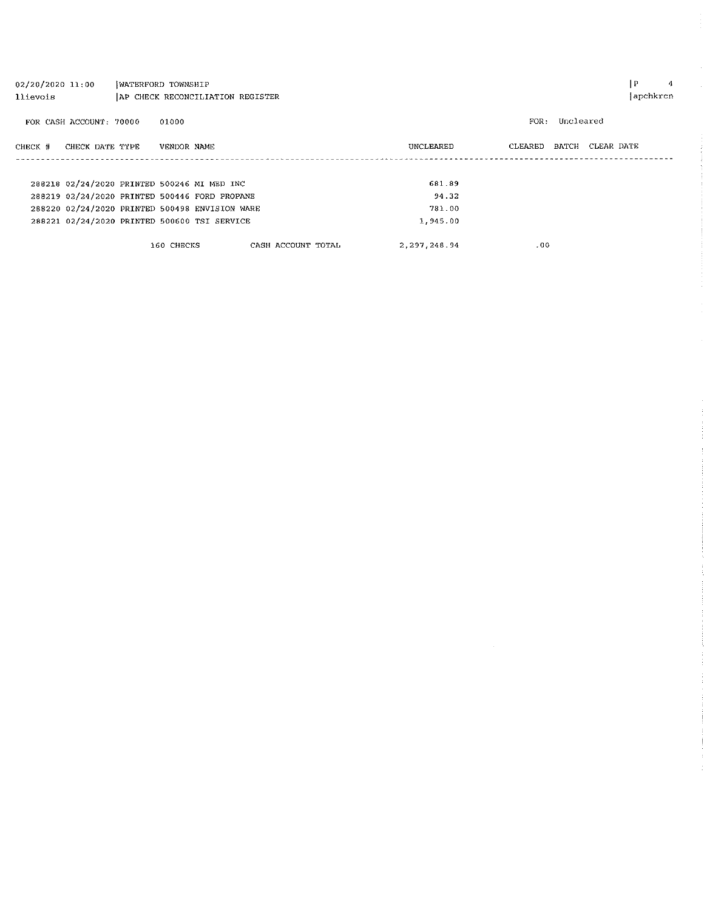| $02/20/2020$ 11:00 |                         | WATERFORD TOWNSHIP               |             |                                                |                    |  |                |         |           |            | IP.      | 4 |
|--------------------|-------------------------|----------------------------------|-------------|------------------------------------------------|--------------------|--|----------------|---------|-----------|------------|----------|---|
| llievois           |                         | AP CHECK RECONCILIATION REGISTER |             |                                                |                    |  |                |         |           |            | apchkrcn |   |
|                    | FOR CASH ACCOUNT: 70000 |                                  | 01000       |                                                |                    |  |                | FOR:    | Uncleared |            |          |   |
| CHECK #            | CHECK DATE TYPE         |                                  | VENDOR NAME |                                                |                    |  | UNCLEARED      | CLEARED | BATCH     | CLEAR DATE |          |   |
|                    |                         |                                  |             |                                                |                    |  |                |         |           |            |          |   |
|                    |                         |                                  |             |                                                |                    |  |                |         |           |            |          |   |
|                    |                         |                                  |             | 288218 02/24/2020 PRINTED 500246 MI MED INC    |                    |  | 681.89         |         |           |            |          |   |
|                    |                         |                                  |             | 288219 02/24/2020 PRINTED 500446 FORD PROPANE  |                    |  | 94.32          |         |           |            |          |   |
|                    |                         |                                  |             | 288220 02/24/2020 PRINTED 500498 ENVISION WARE |                    |  | 781.00         |         |           |            |          |   |
|                    |                         |                                  |             | 288221 02/24/2020 PRINTED 500600 TSI SERVICE   |                    |  | 1,945.00       |         |           |            |          |   |
|                    |                         |                                  | 160 CHECKS  |                                                | CASH ACCOUNT TOTAL |  | 2, 297, 248.94 |         | .00       |            |          |   |

 $\label{eq:2.1} \frac{1}{\sqrt{2}}\int_{\mathbb{R}^3}\frac{1}{\sqrt{2}}\left(\frac{1}{\sqrt{2}}\right)^2\frac{1}{\sqrt{2}}\left(\frac{1}{\sqrt{2}}\right)^2\frac{1}{\sqrt{2}}\left(\frac{1}{\sqrt{2}}\right)^2\frac{1}{\sqrt{2}}\left(\frac{1}{\sqrt{2}}\right)^2.$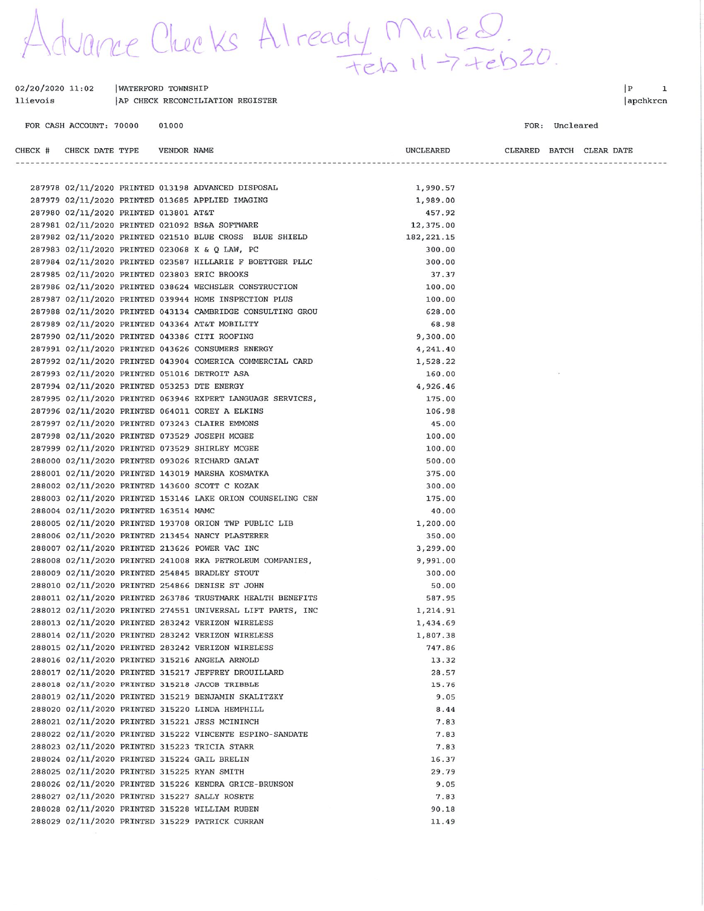duance Checks Already Mailed.

| 02/20/2020 11:02 | WATERFORD TOWNSHIP               |
|------------------|----------------------------------|
| llievois         | AP CHECK RECONCILIATION REGISTER |

VENDOR NAME

FOR CASH ACCOUNT: 70000 01000

CHECK DATE TYPE

CHECK #

 $|P|$  $\mathbf{1}$ |apchkrcn

#### FOR: Uncleared

CLEARED BATCH CLEAR DATE

UNCLEARED

|  |                                             |  | 287978 02/11/2020 PRINTED 013198 ADVANCED DISPOSAL         | 1,990.57    |  |
|--|---------------------------------------------|--|------------------------------------------------------------|-------------|--|
|  |                                             |  | 287979 02/11/2020 PRINTED 013685 APPLIED IMAGING           | 1,989.00    |  |
|  | 287980 02/11/2020 PRINTED 013801 AT&T       |  |                                                            | 457.92      |  |
|  |                                             |  | 287981 02/11/2020 PRINTED 021092 BS&A SOFTWARE             | 12,375.00   |  |
|  |                                             |  | 287982 02/11/2020 PRINTED 021510 BLUE CROSS BLUE SHIELD    | 182, 221.15 |  |
|  |                                             |  | 287983 02/11/2020 PRINTED 023068 K & Q LAW, PC             | 300.00      |  |
|  |                                             |  | 287984 02/11/2020 PRINTED 023587 HILLARIE F BOETTGER PLLC  | 300.00      |  |
|  |                                             |  | 287985 02/11/2020 PRINTED 023803 ERIC BROOKS               | 37.37       |  |
|  |                                             |  | 287986 02/11/2020 PRINTED 038624 WECHSLER CONSTRUCTION     | 100.00      |  |
|  |                                             |  | 287987 02/11/2020 PRINTED 039944 HOME INSPECTION PLUS      | 100.00      |  |
|  |                                             |  | 287988 02/11/2020 PRINTED 043134 CAMBRIDGE CONSULTING GROU | 628.00      |  |
|  |                                             |  | 287989 02/11/2020 PRINTED 043364 AT&T MOBILITY             | 68.98       |  |
|  |                                             |  | 287990 02/11/2020 PRINTED 043386 CITI ROOFING              | 9,300.00    |  |
|  |                                             |  | 287991 02/11/2020 PRINTED 043626 CONSUMERS ENERGY          | 4,241.40    |  |
|  |                                             |  | 287992 02/11/2020 PRINTED 043904 COMERICA COMMERCIAL CARD  | 1,528.22    |  |
|  |                                             |  | 287993 02/11/2020 PRINTED 051016 DETROIT ASA               | 160.00      |  |
|  |                                             |  | 287994 02/11/2020 PRINTED 053253 DTE ENERGY                | 4,926.46    |  |
|  |                                             |  | 287995 02/11/2020 PRINTED 063946 EXPERT LANGUAGE SERVICES, | 175.00      |  |
|  |                                             |  | 287996 02/11/2020 PRINTED 064011 COREY A ELKINS            | 106.98      |  |
|  |                                             |  | 287997 02/11/2020 PRINTED 073243 CLAIRE EMMONS             | 45.00       |  |
|  |                                             |  | 287998 02/11/2020 PRINTED 073529 JOSEPH MCGEE              | 100.00      |  |
|  |                                             |  | 287999 02/11/2020 PRINTED 073529 SHIRLEY MCGEE             | 100.00      |  |
|  |                                             |  | 288000 02/11/2020 PRINTED 093026 RICHARD GALAT             | 500.00      |  |
|  |                                             |  | 288001 02/11/2020 PRINTED 143019 MARSHA KOSMATKA           | 375.00      |  |
|  |                                             |  | 288002 02/11/2020 PRINTED 143600 SCOTT C KOZAK             | 300.00      |  |
|  |                                             |  | 288003 02/11/2020 PRINTED 153146 LAKE ORION COUNSELING CEN | 175.00      |  |
|  | 288004 02/11/2020 PRINTED 163514 MAMC       |  |                                                            | 40.00       |  |
|  |                                             |  | 288005 02/11/2020 PRINTED 193708 ORION TWP PUBLIC LIB      | 1,200.00    |  |
|  |                                             |  | 288006 02/11/2020 PRINTED 213454 NANCY PLASTERER           | 350.00      |  |
|  |                                             |  | 288007 02/11/2020 PRINTED 213626 POWER VAC INC             | 3,299.00    |  |
|  |                                             |  | 288008 02/11/2020 PRINTED 241008 RKA PETROLEUM COMPANIES,  | 9,991.00    |  |
|  |                                             |  | 288009 02/11/2020 PRINTED 254845 BRADLEY STOUT             | 300.00      |  |
|  |                                             |  | 288010 02/11/2020 PRINTED 254866 DENISE ST JOHN            | 50.00       |  |
|  |                                             |  | 288011 02/11/2020 PRINTED 263786 TRUSTMARK HEALTH BENEFITS | 587.95      |  |
|  |                                             |  | 288012 02/11/2020 PRINTED 274551 UNIVERSAL LIFT PARTS, INC | 1,214.91    |  |
|  |                                             |  | 288013 02/11/2020 PRINTED 283242 VERIZON WIRELESS          | 1,434.69    |  |
|  |                                             |  | 288014 02/11/2020 PRINTED 283242 VERIZON WIRELESS          | 1,807.38    |  |
|  |                                             |  | 288015 02/11/2020 PRINTED 283242 VERIZON WIRELESS          | 747.86      |  |
|  |                                             |  | 288016 02/11/2020 PRINTED 315216 ANGELA ARNOLD             | 13.32       |  |
|  |                                             |  | 288017 02/11/2020 PRINTED 315217 JEFFREY DROUILLARD        | 28.57       |  |
|  |                                             |  | 288018 02/11/2020 PRINTED 315218 JACOB TRIBBLE             | 15.76       |  |
|  |                                             |  | 288019 02/11/2020 PRINTED 315219 BENJAMIN SKALITZKY        | 9.05        |  |
|  |                                             |  | 288020 02/11/2020 PRINTED 315220 LINDA HEMPHILL            | 8.44        |  |
|  |                                             |  | 288021 02/11/2020 PRINTED 315221 JESS MCININCH             | 7.83        |  |
|  |                                             |  | 288022 02/11/2020 PRINTED 315222 VINCENTE ESPINO-SANDATE   | 7.83        |  |
|  |                                             |  | 288023 02/11/2020 PRINTED 315223 TRICIA STARR              | 7.83        |  |
|  |                                             |  | 288024 02/11/2020 PRINTED 315224 GAIL BRELIN               | 16.37       |  |
|  | 288025 02/11/2020 PRINTED 315225 RYAN SMITH |  |                                                            | 29.79       |  |
|  |                                             |  | 288026 02/11/2020 PRINTED 315226 KENDRA GRICE-BRUNSON      | 9.05        |  |
|  |                                             |  | 288027 02/11/2020 PRINTED 315227 SALLY ROSETE              | 7.83        |  |
|  |                                             |  | 288028 02/11/2020 PRINTED 315228 WILLIAM RUBEN             | 90.18       |  |
|  |                                             |  | 288029 02/11/2020 PRINTED 315229 PATRICK CURRAN            | 11.49       |  |
|  |                                             |  |                                                            |             |  |